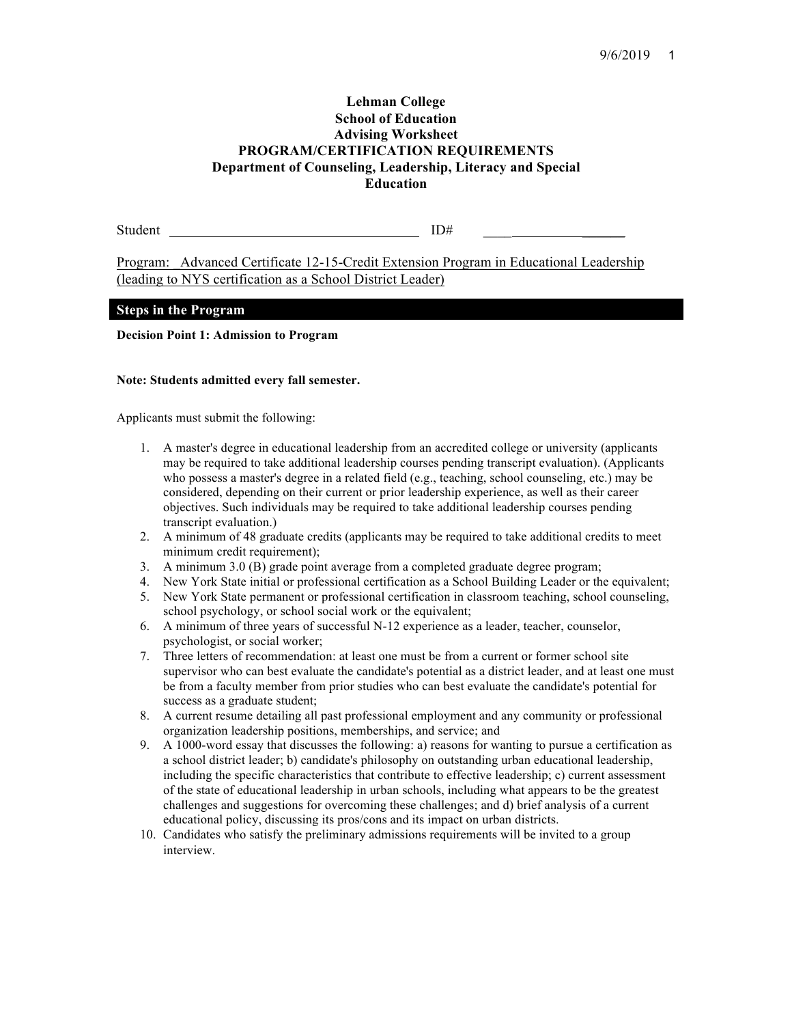### **Lehman College School of Education Advising Worksheet PROGRAM/CERTIFICATION REQUIREMENTS Department of Counseling, Leadership, Literacy and Special Education**

Student ID#

Program: \_Advanced Certificate 12-15-Credit Extension Program in Educational Leadership (leading to NYS certification as a School District Leader)

### **Steps in the Program**

**Decision Point 1: Admission to Program**

#### **Note: Students admitted every fall semester.**

Applicants must submit the following:

- 1. A master's degree in educational leadership from an accredited college or university (applicants may be required to take additional leadership courses pending transcript evaluation). (Applicants who possess a master's degree in a related field (e.g., teaching, school counseling, etc.) may be considered, depending on their current or prior leadership experience, as well as their career objectives. Such individuals may be required to take additional leadership courses pending transcript evaluation.)
- 2. A minimum of 48 graduate credits (applicants may be required to take additional credits to meet minimum credit requirement);
- 3. A minimum 3.0 (B) grade point average from a completed graduate degree program;
- 4. New York State initial or professional certification as a School Building Leader or the equivalent;
- 5. New York State permanent or professional certification in classroom teaching, school counseling, school psychology, or school social work or the equivalent;
- 6. A minimum of three years of successful N-12 experience as a leader, teacher, counselor, psychologist, or social worker;
- 7. Three letters of recommendation: at least one must be from a current or former school site supervisor who can best evaluate the candidate's potential as a district leader, and at least one must be from a faculty member from prior studies who can best evaluate the candidate's potential for success as a graduate student;
- 8. A current resume detailing all past professional employment and any community or professional organization leadership positions, memberships, and service; and
- 9. A 1000-word essay that discusses the following: a) reasons for wanting to pursue a certification as a school district leader; b) candidate's philosophy on outstanding urban educational leadership, including the specific characteristics that contribute to effective leadership; c) current assessment of the state of educational leadership in urban schools, including what appears to be the greatest challenges and suggestions for overcoming these challenges; and d) brief analysis of a current educational policy, discussing its pros/cons and its impact on urban districts.
- 10. Candidates who satisfy the preliminary admissions requirements will be invited to a group interview.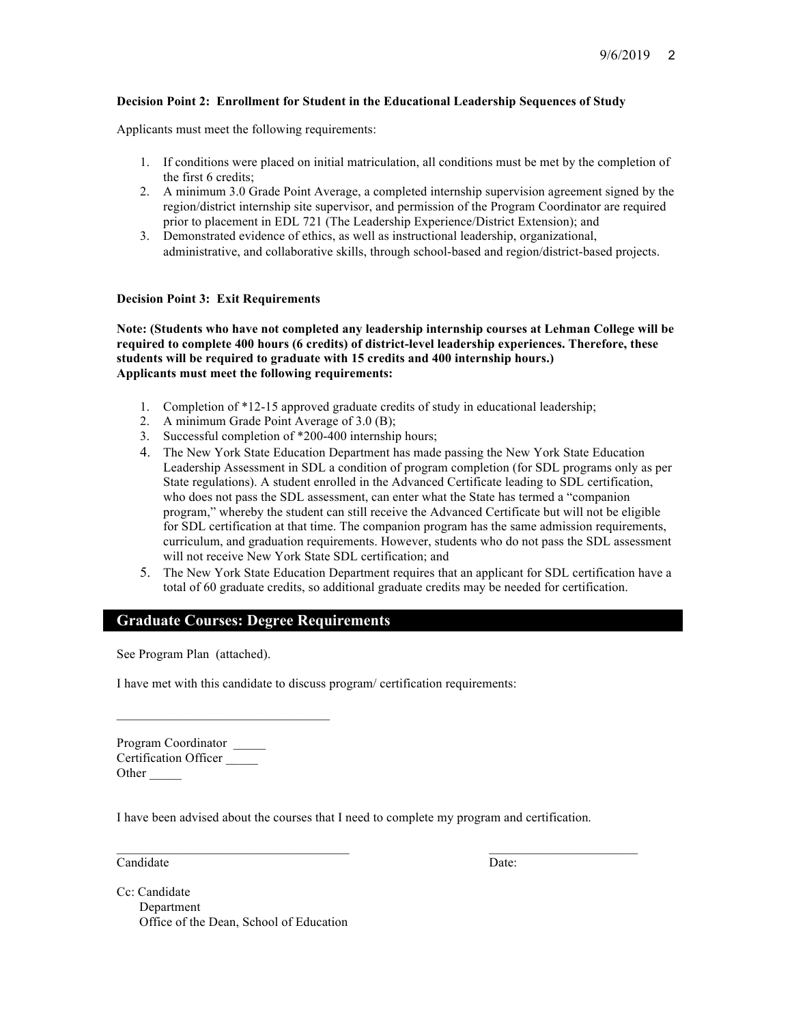### **Decision Point 2: Enrollment for Student in the Educational Leadership Sequences of Study**

Applicants must meet the following requirements:

- 1. If conditions were placed on initial matriculation, all conditions must be met by the completion of the first 6 credits;
- 2. A minimum 3.0 Grade Point Average, a completed internship supervision agreement signed by the region/district internship site supervisor, and permission of the Program Coordinator are required prior to placement in EDL 721 (The Leadership Experience/District Extension); and
- 3. Demonstrated evidence of ethics, as well as instructional leadership, organizational, administrative, and collaborative skills, through school-based and region/district-based projects.

### **Decision Point 3: Exit Requirements**

**Note: (Students who have not completed any leadership internship courses at Lehman College will be required to complete 400 hours (6 credits) of district-level leadership experiences. Therefore, these students will be required to graduate with 15 credits and 400 internship hours.) Applicants must meet the following requirements:**

- 1. Completion of \*12-15 approved graduate credits of study in educational leadership;
- 2. A minimum Grade Point Average of 3.0 (B);
- 3. Successful completion of \*200-400 internship hours;
- 4. The New York State Education Department has made passing the New York State Education Leadership Assessment in SDL a condition of program completion (for SDL programs only as per State regulations). A student enrolled in the Advanced Certificate leading to SDL certification, who does not pass the SDL assessment, can enter what the State has termed a "companion program," whereby the student can still receive the Advanced Certificate but will not be eligible for SDL certification at that time. The companion program has the same admission requirements, curriculum, and graduation requirements. However, students who do not pass the SDL assessment will not receive New York State SDL certification; and
- 5. The New York State Education Department requires that an applicant for SDL certification have a total of 60 graduate credits, so additional graduate credits may be needed for certification.

# **Graduate Courses: Degree Requirements**

See Program Plan (attached).

 $\mathcal{L}_\text{max}$ 

I have met with this candidate to discuss program/ certification requirements:

Program Coordinator \_\_\_\_\_ Certification Officer \_\_\_\_\_ Other  $\_\_$ 

I have been advised about the courses that I need to complete my program and certification.

 $\_$  , and the state of the state of the state of the state of the state of the state of the state of the state of the state of the state of the state of the state of the state of the state of the state of the state of the

Candidate Date:

Cc: Candidate Department Office of the Dean, School of Education